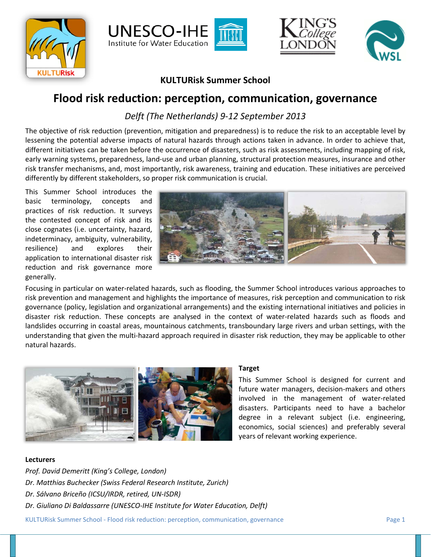







# **KULTURisk Summer School**

# **Flood risk reduction: perception, communication, governance**

*Delft (The Netherlands) 9-12 September 2013*

The objective of risk reduction (prevention, mitigation and preparedness) is to reduce the risk to an acceptable level by lessening the potential adverse impacts of natural hazards through actions taken in advance. In order to achieve that, different initiatives can be taken before the occurrence of disasters, such as risk assessments, including mapping of risk, early warning systems, preparedness, land-use and urban planning, structural protection measures, insurance and other risk transfer mechanisms, and, most importantly, risk awareness, training and education. These initiatives are perceived differently by different stakeholders, so proper risk communication is crucial.

This Summer School introduces the basic terminology, concepts and practices of risk reduction. It surveys the contested concept of risk and its close cognates (i.e. uncertainty, hazard, indeterminacy, ambiguity, vulnerability, resilience) and explores their application to international disaster risk reduction and risk governance more generally.



Focusing in particular on water-related hazards, such as flooding, the Summer School introduces various approaches to risk prevention and management and highlights the importance of measures, risk perception and communication to risk governance (policy, legislation and organizational arrangements) and the existing international initiatives and policies in disaster risk reduction. These concepts are analysed in the context of water-related hazards such as floods and landslides occurring in coastal areas, mountainous catchments, transboundary large rivers and urban settings, with the understanding that given the multi-hazard approach required in disaster risk reduction, they may be applicable to other natural hazards.



## **Target**

This Summer School is designed for current and future water managers, decision-makers and others involved in the management of water-related disasters. Participants need to have a bachelor degree in a relevant subject (i.e. engineering, economics, social sciences) and preferably several years of relevant working experience.

## **Lecturers**

*Prof. David Demeritt (King's College, London) Dr. Matthias Buchecker (Swiss Federal Research Institute, Zurich) Dr. Sálvano Briceño (ICSU/IRDR, retired, UN-ISDR) Dr. Giuliano Di Baldassarre (UNESCO-IHE Institute for Water Education, Delft)*

KULTURisk Summer School - Flood risk reduction: perception, communication, governance Page 1